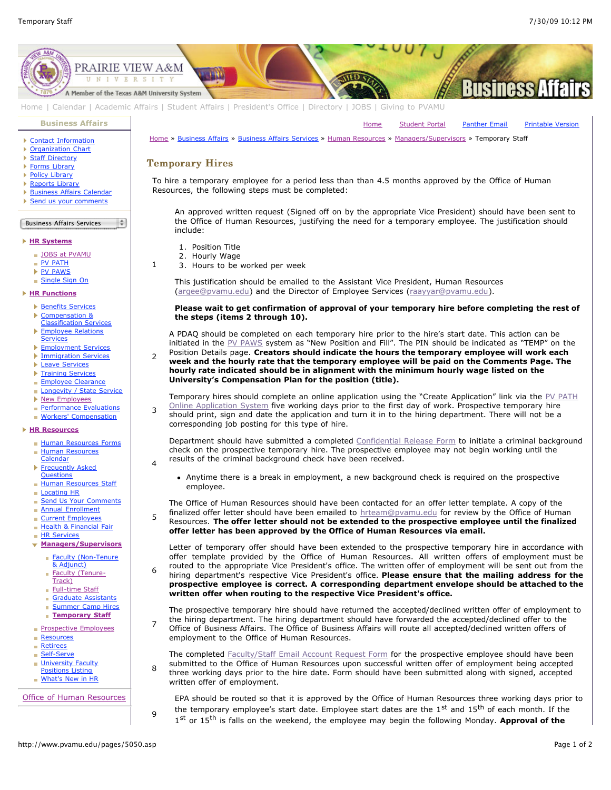[Home](http://www.pvamu.edu/pages/1.asp) [Student Portal](http://panthertracks.pvamu.edu/) [Panther Email](http://www.pvamu.edu/pages/1740.asp) [Printable Version](http://www.pvamu.edu/print/5050.asp)



[Home](http://www.pvamu.edu/pages/1.asp) | [Calendar](http://www.pvamu.edu/pages/222.asp) | [Academic Affairs](http://www.pvamu.edu/pages/116.asp) | [Student Affairs](http://www.pvamu.edu/pages/1441.asp) | [President's Office](http://www.pvamu.edu/pages/117.asp) | [Directory](http://www.pvamu.edu/pages/225.asp) | [JOBS](http://www.pvamu.edu/pages/118.asp) | [Giving to PVAMU](http://www.pvamu.edu/giving)

**[Business Affairs](http://www.pvamu.edu/pages/102.asp)**

- [Contact Information](http://www.pvamu.edu/pages/527.asp)
- **[Organization Chart](http://www.pvamu.edu/pages/528.asp)**
- **[Staff Directory](http://www.pvamu.edu/pages/529.asp)**
- ▶ [Forms Library](http://www.pvamu.edu/pages/531.asp)
- ▶ [Policy Library](http://www.pvamu.edu/pages/532.asp)
- ▶ [Reports Library](http://www.pvamu.edu/pages/533.asp)
- **[Business Affairs Calendar](http://www.pvamu.edu/pages/534.asp)**
- [Send us your comments](http://www.pvamu.edu/pages/535.asp)

Business Affairs Services  $\frac{1}{2}$ 

### **[HR Systems](http://www.pvamu.edu/pages/555.asp)**

- **[JOBS at PVAMU](http://www.pvamu.edu/pages/118.asp)**
- **[PV PATH](http://www.pvamu.edu/pages/1996.asp)**
- ▶ [PV PAWS](http://www.pvamu.edu/pages/1997.asp)

# [Single Sign On](http://www.pvamu.edu/pages/684.asp)

## **[HR Functions](http://www.pvamu.edu/pages/555.asp)**

- **[Benefits Services](http://www.pvamu.edu/pages/685.asp)**
- Þ Compensation &
- [Classification Services](http://www.pvamu.edu/pages/689.asp) [Employee Relations](http://www.pvamu.edu/pages/690.asp)
- **Services**
- K [Employment Services](http://www.pvamu.edu/pages/676.asp)
- 
- 
- 
- 
- 
- 
- 

### **[HR Resources](http://www.pvamu.edu/pages/555.asp)**

- [Human Resources Forms](http://www.pvamu.edu/pages/696.asp)
- **[Human Resources](http://www.pvamu.edu/pages/2000.asp)**
- **[Frequently Asked](http://www.pvamu.edu/pages/680.asp)**
- **Questions**
- [Locating HR](http://www.pvamu.edu/pages/681.asp)
- [Send Us Your Comments](http://www.pvamu.edu/pages/1829.asp)
- 
- 
- [Health & Financial Fair](http://www.pvamu.edu/pages/5122.asp)
- **[HR Services](http://www.pvamu.edu/pages/5322.asp)**
- 
- - & Adjunct)
- Track)
- **[Full-time Staff](http://www.pvamu.edu/pages/5048.asp)**
- [Graduate Assistants](http://www.pvamu.edu/pages/5052.asp)
- 
- **[Temporary Staff](http://www.pvamu.edu/pages/5050.asp)**
- **[Prospective Employees](http://www.pvamu.edu/pages/4724.asp)**
- **[Retirees](http://www.pvamu.edu/pages/4735.asp)**
- [Self-Serve](http://www.pvamu.edu/pages/5323.asp)
- **[University Faculty](http://www.pvamu.edu/pages/3397.asp)**
- Positions Listing
- **[What's New in HR](http://www.pvamu.edu/pages/5201.asp)**

[Office of Human Resources](http://www.pvamu.edu/pages/555.asp)

- **[Immigration Services](http://www.pvamu.edu/pages/694.asp)**
- **[Leave Services](http://www.pvamu.edu/pages/687.asp)**
- **[Training Services](http://www.pvamu.edu/pages/693.asp)**
- **[Employee Clearance](http://www.pvamu.edu/pages/3032.asp)**
- [Longevity / State Service](http://www.pvamu.edu/pages/3578.asp)
- ▶ [New Employees](http://www.pvamu.edu/pages/1998.asp)
- [Performance Evaluations](http://www.pvamu.edu/pages/3943.asp)
- **[Workers' Compensation](http://www.pvamu.edu/pages/2016.asp)**

- 
- Calendar
- 
- **[Human Resources Staff](http://www.pvamu.edu/pages/675.asp)**
- 
- 
- **[Annual Enrollment](http://www.pvamu.edu/pages/5696.asp)**
- [Current Employees](http://www.pvamu.edu/pages/4707.asp)
- 
- 

### **[Managers/Supervisors](http://www.pvamu.edu/pages/3942.asp)**

- Eaculty (Non-Tenure
- [Faculty \(Tenure](http://www.pvamu.edu/pages/5049.asp)i.
- 
- 
- 
- **[Summer Camp Hires](http://www.pvamu.edu/pages/5588.asp)**
- 
- **[Resources](http://www.pvamu.edu/pages/5324.asp)**
- 
- 
- 
- 

- EPA should be routed so that it is approved by the Office of Human Resources three working days prior to the temporary employee's start date. Employee start dates are the  $1<sup>st</sup>$  and  $15<sup>th</sup>$  of each month. If the
- 1st or 15<sup>th</sup> is falls on the weekend, the employee may begin the following Monday. **Approval of the**

[Home](http://www.pvamu.edu/pages/1.asp) » [Business Affairs](http://www.pvamu.edu/pages/102.asp) » [Business Affairs Services](http://www.pvamu.edu/pages/530.asp) » [Human Resources](http://www.pvamu.edu/pages/555.asp) » [Managers/Supervisors](http://www.pvamu.edu/pages/3942.asp) » Temporary Staff

# **Temporary Hires**

include:

1. Position Title 2. Hourly Wage

employee.

3. Hours to be worked per week

**the steps (items 2 through 10).**

**University's Compensation Plan for the position (title).**

results of the criminal background check have been received.

corresponding job posting for this type of hire.

employment to the Office of Human Resources.

written offer of employment.

1

 $\overline{2}$ 

3

4

5

6

7

8

9

To hire a temporary employee for a period less than than 4.5 months approved by the Office of Human Resources, the following steps must be completed:

This justification should be emailed to the Assistant Vice President, Human Resources ([argee@pvamu.edu](mailto:argee@pvamu.edu?subject=Temporary%20Hire%20Justification)) and the Director of Employee Services ([raayyar@pvamu.edu\)](mailto:raayyar@pvamu.edu?subject=Temporary%20Hire%20Justification).

An approved written request (Signed off on by the appropriate Vice President) should have been sent to the Office of Human Resources, justifying the need for a temporary employee. The justification should

**Please wait to get confirmation of approval of your temporary hire before completing the rest of**

[Temporary hires should complete an online application using the "Create Application" link via the PV PATH](https://jobs.pvamu.edu/) Online Application System five working days prior to the first day of work. Prospective temporary hire should print, sign and date the application and turn it in to the hiring department. There will not be a

Department should have submitted a completed [Confidential Release Form](http://www.pvamu.edu/files/human_resources/docs/Background%20Check.pdf) to initiate a criminal background check on the prospective temporary hire. The prospective employee may not begin working until the

Anytime there is a break in employment, a new background check is required on the prospective

The Office of Human Resources should have been contacted for an offer letter template. A copy of the finalized offer letter should have been emailed to [hrteam@pvamu.edu](mailto:hrteam@pvamu.edu?subject=Offer%20Letters) for review by the Office of Human Resources. **The offer letter should not be extended to the prospective employee until the finalized**

Letter of temporary offer should have been extended to the prospective temporary hire in accordance with offer template provided by the Office of Human Resources. All written offers of employment must be routed to the appropriate Vice President's office. The written offer of employment will be sent out from the hiring department's respective Vice President's office. **Please ensure that the mailing address for the prospective employee is correct. A corresponding department envelope should be attached to the**

The prospective temporary hire should have returned the accepted/declined written offer of employment to the hiring department. The hiring department should have forwarded the accepted/declined offer to the Office of Business Affairs. The Office of Business Affairs will route all accepted/declined written offers of

The completed [Faculty/Staff Email Account Request Form](http://www.pvamu.edu/files/human_resources/docs/Email%20Account.pdf) for the prospective employee should have been submitted to the Office of Human Resources upon successful written offer of employment being accepted three working days prior to the hire date. Form should have been submitted along with signed, accepted

**offer letter has been approved by the Office of Human Resources via email.**

**written offer when routing to the respective Vice President's office.**

A PDAQ should be completed on each temporary hire prior to the hire's start date. This action can be initiated in the [PV PAWS](https://jobs.pvamu.edu/hr) system as "New Position and Fill". The PIN should be indicated as "TEMP" on the Position Details page. **Creators should indicate the hours the temporary employee will work each week and the hourly rate that the temporary employee will be paid on the Comments Page. The hourly rate indicated should be in alignment with the minimum hourly wage listed on the**